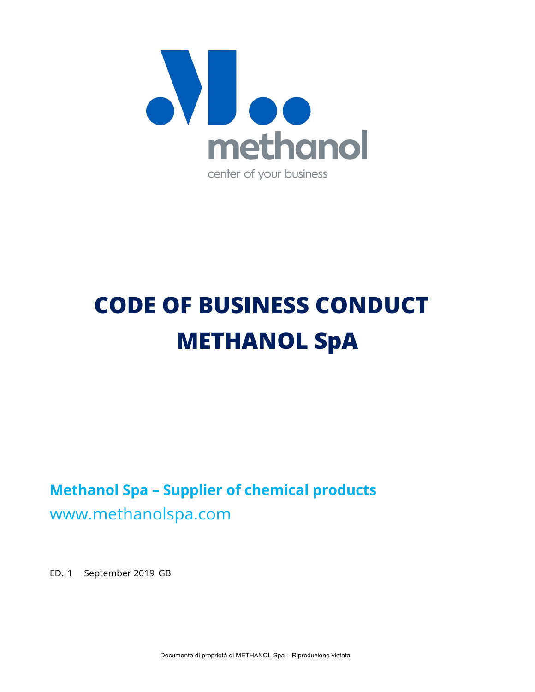

# **CODE OF BUSINESS CONDUCT METHANOL SpA**

**Methanol Spa – Supplier of chemical products**  www.methanolspa.com

ED. 1 September 2019 GB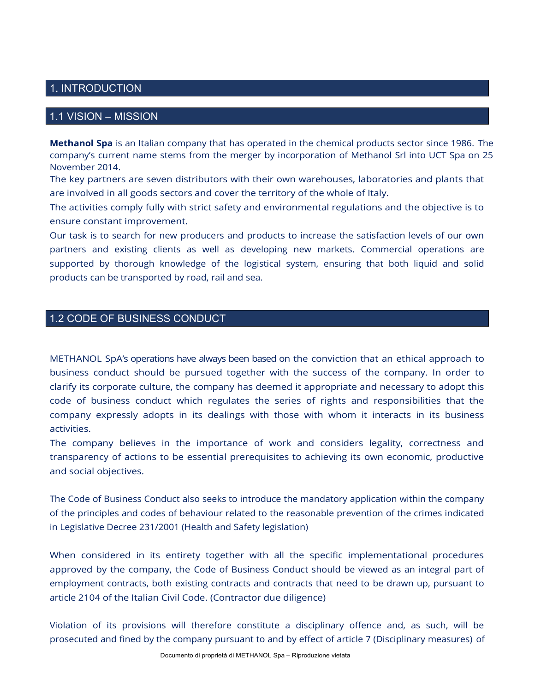## 1. INTRODUCTION

## 1.1 VISION – MISSION

**Methanol Spa** is an Italian company that has operated in the chemical products sector since 1986. The company's current name stems from the merger by incorporation of Methanol Srl into UCT Spa on 25 November 2014.

The key partners are seven distributors with their own warehouses, laboratories and plants that are involved in all goods sectors and cover the territory of the whole of Italy.

The activities comply fully with strict safety and environmental regulations and the objective is to ensure constant improvement.

Our task is to search for new producers and products to increase the satisfaction levels of our own partners and existing clients as well as developing new markets. Commercial operations are supported by thorough knowledge of the logistical system, ensuring that both liquid and solid products can be transported by road, rail and sea.

# 1.2 CODE OF BUSINESS CONDUCT

METHANOL SpA's operations have always been based on the conviction that an ethical approach to business conduct should be pursued together with the success of the company. In order to clarify its corporate culture, the company has deemed it appropriate and necessary to adopt this code of business conduct which regulates the series of rights and responsibilities that the company expressly adopts in its dealings with those with whom it interacts in its business activities.

The company believes in the importance of work and considers legality, correctness and transparency of actions to be essential prerequisites to achieving its own economic, productive and social objectives.

The Code of Business Conduct also seeks to introduce the mandatory application within the company of the principles and codes of behaviour related to the reasonable prevention of the crimes indicated in Legislative Decree 231/2001 (Health and Safety legislation)

When considered in its entirety together with all the specific implementational procedures approved by the company, the Code of Business Conduct should be viewed as an integral part of employment contracts, both existing contracts and contracts that need to be drawn up, pursuant to article 2104 of the Italian Civil Code. (Contractor due diligence)

Violation of its provisions will therefore constitute a disciplinary offence and, as such, will be prosecuted and fined by the company pursuant to and by effect of article 7 (Disciplinary measures) of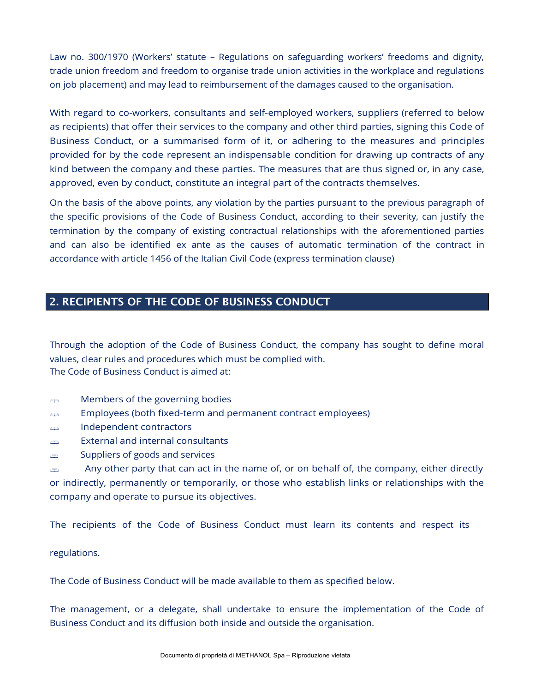Law no. 300/1970 (Workers' statute – Regulations on safeguarding workers' freedoms and dignity, trade union freedom and freedom to organise trade union activities in the workplace and regulations on job placement) and may lead to reimbursement of the damages caused to the organisation.

With regard to co-workers, consultants and self-employed workers, suppliers (referred to below as recipients) that offer their services to the company and other third parties, signing this Code of Business Conduct, or a summarised form of it, or adhering to the measures and principles provided for by the code represent an indispensable condition for drawing up contracts of any kind between the company and these parties. The measures that are thus signed or, in any case, approved, even by conduct, constitute an integral part of the contracts themselves.

On the basis of the above points, any violation by the parties pursuant to the previous paragraph of the specific provisions of the Code of Business Conduct, according to their severity, can justify the termination by the company of existing contractual relationships with the aforementioned parties and can also be identified ex ante as the causes of automatic termination of the contract in accordance with article 1456 of the Italian Civil Code (express termination clause)

# 2. RECIPIENTS OF THE CODE OF BUSINESS CONDUCT

Through the adoption of the Code of Business Conduct, the company has sought to define moral values, clear rules and procedures which must be complied with. The Code of Business Conduct is aimed at:

- **EXECUTE:** Members of the governing bodies
- **Employees (both fixed-term and permanent contract employees)**
- Independent contractors
- **External and internal consultants**
- $\text{suppliers of goods and services}$

 $\Rightarrow$  Any other party that can act in the name of, or on behalf of, the company, either directly or indirectly, permanently or temporarily, or those who establish links or relationships with the company and operate to pursue its objectives.

The recipients of the Code of Business Conduct must learn its contents and respect its

regulations.

The Code of Business Conduct will be made available to them as specified below.

The management, or a delegate, shall undertake to ensure the implementation of the Code of Business Conduct and its diffusion both inside and outside the organisation.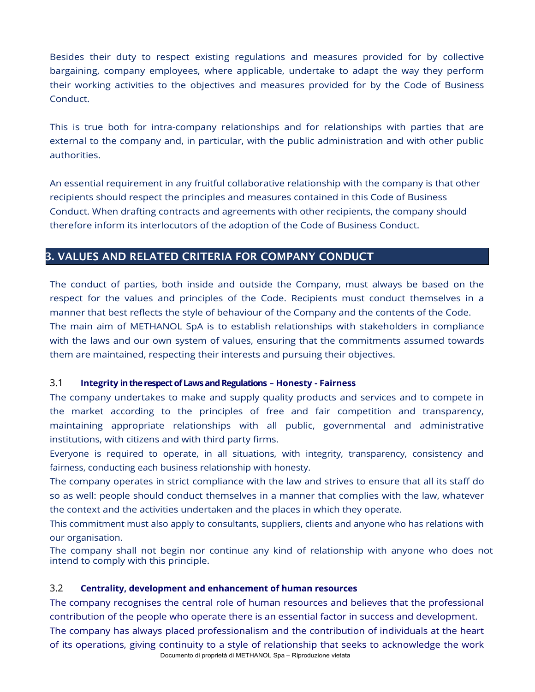Besides their duty to respect existing regulations and measures provided for by collective bargaining, company employees, where applicable, undertake to adapt the way they perform their working activities to the objectives and measures provided for by the Code of Business Conduct.

This is true both for intra-company relationships and for relationships with parties that are external to the company and, in particular, with the public administration and with other public authorities.

An essential requirement in any fruitful collaborative relationship with the company is that other recipients should respect the principles and measures contained in this Code of Business Conduct. When drafting contracts and agreements with other recipients, the company should therefore inform its interlocutors of the adoption of the Code of Business Conduct.

## 3. VALUES AND RELATED CRITERIA FOR COMPANY CONDUCT

The conduct of parties, both inside and outside the Company, must always be based on the respect for the values and principles of the Code. Recipients must conduct themselves in a manner that best reflects the style of behaviour of the Company and the contents of the Code. The main aim of METHANOL SpA is to establish relationships with stakeholders in compliance with the laws and our own system of values, ensuring that the commitments assumed towards them are maintained, respecting their interests and pursuing their objectives.

## 3.1 **Integrity in the respect of Laws and Regulations – Honesty - Fairness**

The company undertakes to make and supply quality products and services and to compete in the market according to the principles of free and fair competition and transparency, maintaining appropriate relationships with all public, governmental and administrative institutions, with citizens and with third party firms.

Everyone is required to operate, in all situations, with integrity, transparency, consistency and fairness, conducting each business relationship with honesty.

The company operates in strict compliance with the law and strives to ensure that all its staff do so as well: people should conduct themselves in a manner that complies with the law, whatever the context and the activities undertaken and the places in which they operate.

This commitment must also apply to consultants, suppliers, clients and anyone who has relations with our organisation.

The company shall not begin nor continue any kind of relationship with anyone who does not intend to comply with this principle.

## 3.2 **Centrality, development and enhancement of human resources**

Documento di proprietà di METHANOL Spa – Riproduzione vietata The company recognises the central role of human resources and believes that the professional contribution of the people who operate there is an essential factor in success and development. The company has always placed professionalism and the contribution of individuals at the heart of its operations, giving continuity to a style of relationship that seeks to acknowledge the work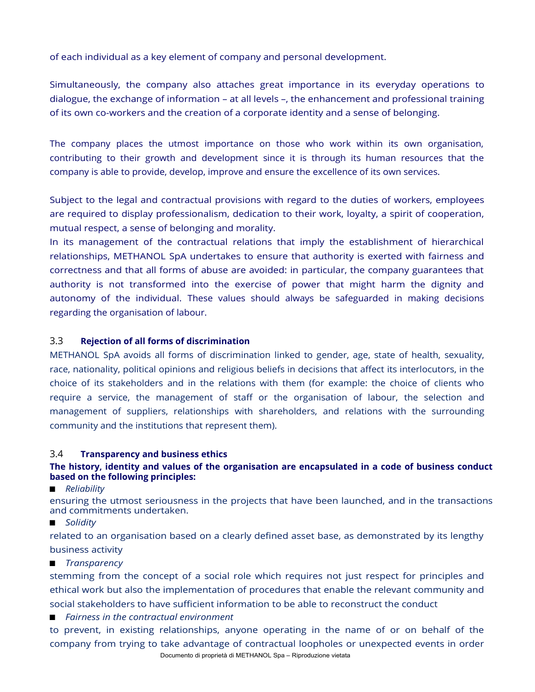of each individual as a key element of company and personal development.

Simultaneously, the company also attaches great importance in its everyday operations to dialogue, the exchange of information – at all levels –, the enhancement and professional training of its own co-workers and the creation of a corporate identity and a sense of belonging.

The company places the utmost importance on those who work within its own organisation, contributing to their growth and development since it is through its human resources that the company is able to provide, develop, improve and ensure the excellence of its own services.

Subject to the legal and contractual provisions with regard to the duties of workers, employees are required to display professionalism, dedication to their work, loyalty, a spirit of cooperation, mutual respect, a sense of belonging and morality.

In its management of the contractual relations that imply the establishment of hierarchical relationships, METHANOL SpA undertakes to ensure that authority is exerted with fairness and correctness and that all forms of abuse are avoided: in particular, the company guarantees that authority is not transformed into the exercise of power that might harm the dignity and autonomy of the individual. These values should always be safeguarded in making decisions regarding the organisation of labour.

## 3.3 **Rejection of all forms of discrimination**

METHANOL SpA avoids all forms of discrimination linked to gender, age, state of health, sexuality, race, nationality, political opinions and religious beliefs in decisions that affect its interlocutors, in the choice of its stakeholders and in the relations with them (for example: the choice of clients who require a service, the management of staff or the organisation of labour, the selection and management of suppliers, relationships with shareholders, and relations with the surrounding community and the institutions that represent them).

## 3.4 **Transparency and business ethics**

## **The history, identity and values of the organisation are encapsulated in a code of business conduct based on the following principles:**

*Reliability*

ensuring the utmost seriousness in the projects that have been launched, and in the transactions and commitments undertaken.

■ *Solidity* 

related to an organisation based on a clearly defined asset base, as demonstrated by its lengthy business activity

*Transparency*

stemming from the concept of a social role which requires not just respect for principles and ethical work but also the implementation of procedures that enable the relevant community and

social stakeholders to have sufficient information to be able to reconstruct the conduct

*Fairness in the contractual environment* 

Documento di proprietà di METHANOL Spa – Riproduzione vietata to prevent, in existing relationships, anyone operating in the name of or on behalf of the company from trying to take advantage of contractual loopholes or unexpected events in order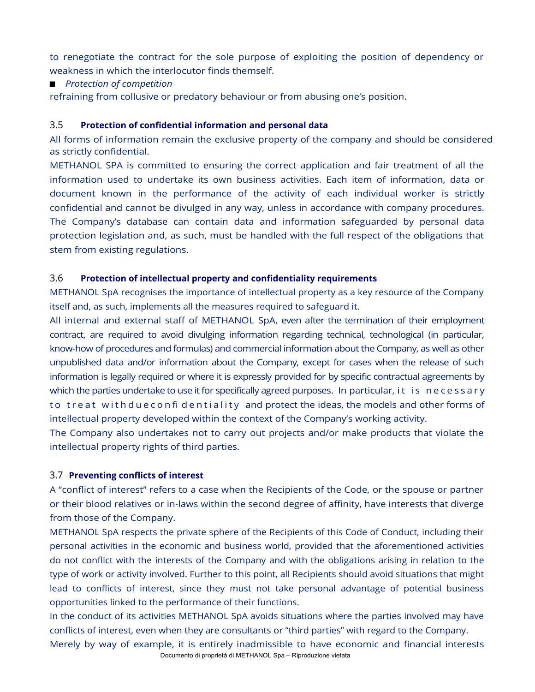to renegotiate the contract for the sole purpose of exploiting the position of dependency or weakness in which the interlocutor finds themself.

## *Protection of competition*

refraining from collusive or predatory behaviour or from abusing one's position.

## 3.5 **Protection of confidential information and personal data**

All forms of information remain the exclusive property of the company and should be considered as strictly confidential.

METHANOL SPA is committed to ensuring the correct application and fair treatment of all the information used to undertake its own business activities. Each item of information, data or document known in the performance of the activity of each individual worker is strictly confidential and cannot be divulged in any way, unless in accordance with company procedures. The Company's database can contain data and information safeguarded by personal data protection legislation and, as such, must be handled with the full respect of the obligations that stem from existing regulations.

#### 3.6 **Protection of intellectual property and confidentiality requirements**

METHANOL SpA recognises the importance of intellectual property as a key resource of the Company itself and, as such, implements all the measures required to safeguard it.

All internal and external staff of METHANOL SpA, even after the termination of their employment contract, are required to avoid divulging information regarding technical, technological (in particular, know-how of procedures and formulas) and commercial information about the Company, as well as other unpublished data and/or information about the Company, except for cases when the release of such information is legally required or where it is expressly provided for by specific contractual agreements by which the parties undertake to use it for specifically agreed purposes. In particular, it is necessary to treat with due confidentiality and protect the ideas, the models and other forms of intellectual property developed within the context of the Company's working activity.

The Company also undertakes not to carry out projects and/or make products that violate the intellectual property rights of third parties.

#### 3.7 **Preventing conflicts of interest**

A "conflict of interest" refers to a case when the Recipients of the Code, or the spouse or partner or their blood relatives or in-laws within the second degree of affinity, have interests that diverge from those of the Company.

METHANOL SpA respects the private sphere of the Recipients of this Code of Conduct, including their personal activities in the economic and business world, provided that the aforementioned activities do not conflict with the interests of the Company and with the obligations arising in relation to the type of work or activity involved. Further to this point, all Recipients should avoid situations that might lead to conflicts of interest, since they must not take personal advantage of potential business opportunities linked to the performance of their functions.

In the conduct of its activities METHANOL SpA avoids situations where the parties involved may have conflicts of interest, even when they are consultants or "third parties" with regard to the Company. Merely by way of example, it is entirely inadmissible to have economic and financial interests

Documento di proprietà di METHANOL Spa – Riproduzione vietata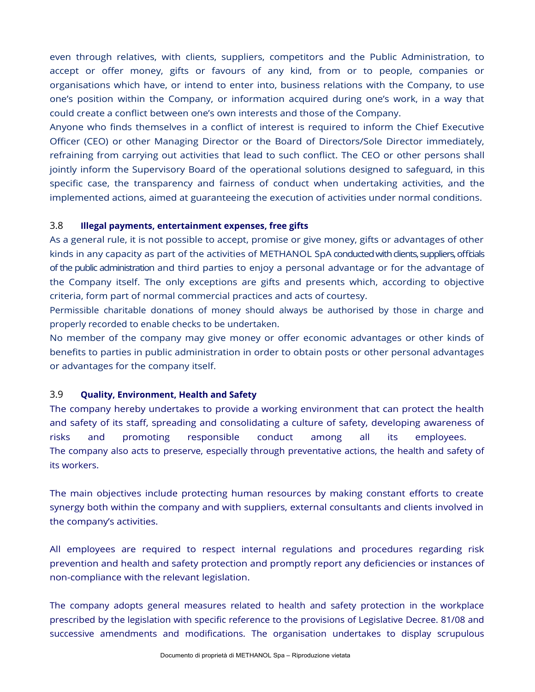even through relatives, with clients, suppliers, competitors and the Public Administration, to accept or offer money, gifts or favours of any kind, from or to people, companies or organisations which have, or intend to enter into, business relations with the Company, to use one's position within the Company, or information acquired during one's work, in a way that could create a conflict between one's own interests and those of the Company.

Anyone who finds themselves in a conflict of interest is required to inform the Chief Executive Officer (CEO) or other Managing Director or the Board of Directors/Sole Director immediately, refraining from carrying out activities that lead to such conflict. The CEO or other persons shall jointly inform the Supervisory Board of the operational solutions designed to safeguard, in this specific case, the transparency and fairness of conduct when undertaking activities, and the implemented actions, aimed at guaranteeing the execution of activities under normal conditions.

## 3.8 **Illegal payments, entertainment expenses, free gifts**

As a general rule, it is not possible to accept, promise or give money, gifts or advantages of other kinds in any capacity as part of the activities of METHANOL SpA conducted with clients, suppliers, officials of the public administration and third parties to enjoy a personal advantage or for the advantage of the Company itself. The only exceptions are gifts and presents which, according to objective criteria, form part of normal commercial practices and acts of courtesy.

Permissible charitable donations of money should always be authorised by those in charge and properly recorded to enable checks to be undertaken.

No member of the company may give money or offer economic advantages or other kinds of benefits to parties in public administration in order to obtain posts or other personal advantages or advantages for the company itself.

## 3.9 **Quality, Environment, Health and Safety**

The company hereby undertakes to provide a working environment that can protect the health and safety of its staff, spreading and consolidating a culture of safety, developing awareness of risks and promoting responsible conduct among all its employees. The company also acts to preserve, especially through preventative actions, the health and safety of its workers.

The main objectives include protecting human resources by making constant efforts to create synergy both within the company and with suppliers, external consultants and clients involved in the company's activities.

All employees are required to respect internal regulations and procedures regarding risk prevention and health and safety protection and promptly report any deficiencies or instances of non-compliance with the relevant legislation.

The company adopts general measures related to health and safety protection in the workplace prescribed by the legislation with specific reference to the provisions of Legislative Decree. 81/08 and successive amendments and modifications. The organisation undertakes to display scrupulous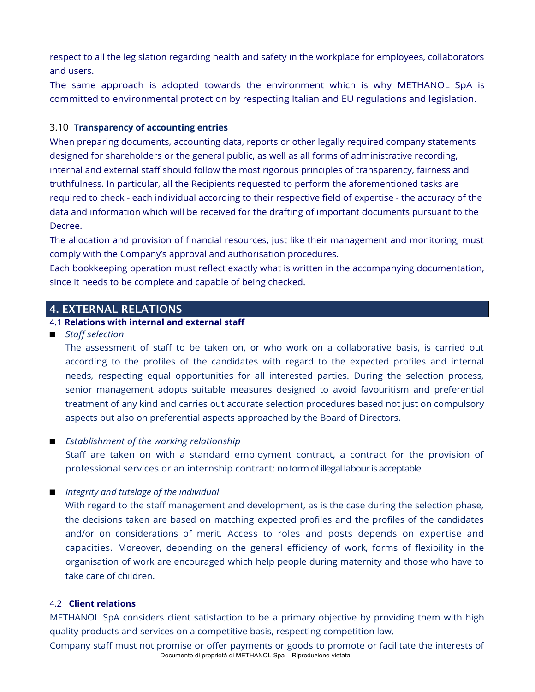respect to all the legislation regarding health and safety in the workplace for employees, collaborators and users.

The same approach is adopted towards the environment which is why METHANOL SpA is committed to environmental protection by respecting Italian and EU regulations and legislation.

## 3.10 **Transparency of accounting entries**

When preparing documents, accounting data, reports or other legally required company statements designed for shareholders or the general public, as well as all forms of administrative recording, internal and external staff should follow the most rigorous principles of transparency, fairness and truthfulness. In particular, all the Recipients requested to perform the aforementioned tasks are required to check - each individual according to their respective field of expertise - the accuracy of the data and information which will be received for the drafting of important documents pursuant to the Decree.

The allocation and provision of financial resources, just like their management and monitoring, must comply with the Company's approval and authorisation procedures.

Each bookkeeping operation must reflect exactly what is written in the accompanying documentation, since it needs to be complete and capable of being checked.

## 4. EXTERNAL RELATIONS

## 4.1 **Relations with internal and external staff**

*Staff selection* 

The assessment of staff to be taken on, or who work on a collaborative basis, is carried out according to the profiles of the candidates with regard to the expected profiles and internal needs, respecting equal opportunities for all interested parties. During the selection process, senior management adopts suitable measures designed to avoid favouritism and preferential treatment of any kind and carries out accurate selection procedures based not just on compulsory aspects but also on preferential aspects approached by the Board of Directors.

## *Establishment of the working relationship*

Staff are taken on with a standard employment contract, a contract for the provision of professional services or an internship contract: no form of illegal labour is acceptable.

*Integrity and tutelage of the individual* 

With regard to the staff management and development, as is the case during the selection phase, the decisions taken are based on matching expected profiles and the profiles of the candidates and/or on considerations of merit. Access to roles and posts depends on expertise and capacities. Moreover, depending on the general efficiency of work, forms of flexibility in the organisation of work are encouraged which help people during maternity and those who have to take care of children.

## 4.2 **Client relations**

METHANOL SpA considers client satisfaction to be a primary objective by providing them with high quality products and services on a competitive basis, respecting competition law.

Documento di proprietà di METHANOL Spa – Riproduzione vietata Company staff must not promise or offer payments or goods to promote or facilitate the interests of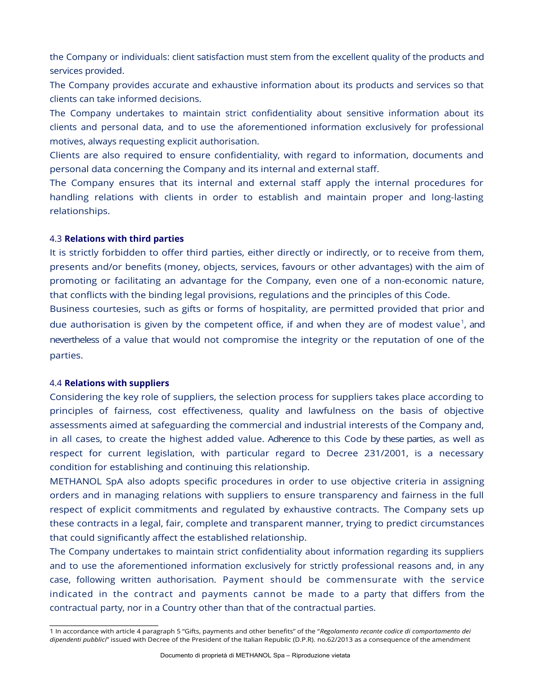the Company or individuals: client satisfaction must stem from the excellent quality of the products and services provided.

The Company provides accurate and exhaustive information about its products and services so that clients can take informed decisions.

The Company undertakes to maintain strict confidentiality about sensitive information about its clients and personal data, and to use the aforementioned information exclusively for professional motives, always requesting explicit authorisation.

Clients are also required to ensure confidentiality, with regard to information, documents and personal data concerning the Company and its internal and external staff.

The Company ensures that its internal and external staff apply the internal procedures for handling relations with clients in order to establish and maintain proper and long-lasting relationships.

#### 4.3 **Relations with third parties**

It is strictly forbidden to offer third parties, either directly or indirectly, or to receive from them, presents and/or benefits (money, objects, services, favours or other advantages) with the aim of promoting or facilitating an advantage for the Company, even one of a non-economic nature, that conflicts with the binding legal provisions, regulations and the principles of this Code.

Business courtesies, such as gifts or forms of hospitality, are permitted provided that prior and due authorisation is given by the competent office, if and when they are of modest value<sup>1</sup>, and nevertheless of a value that would not compromise the integrity or the reputation of one of the parties.

#### 4.4 **Relations with suppliers**

Considering the key role of suppliers, the selection process for suppliers takes place according to principles of fairness, cost effectiveness, quality and lawfulness on the basis of objective assessments aimed at safeguarding the commercial and industrial interests of the Company and, in all cases, to create the highest added value. Adherence to this Code by these parties, as well as respect for current legislation, with particular regard to Decree 231/2001, is a necessary condition for establishing and continuing this relationship.

METHANOL SpA also adopts specific procedures in order to use objective criteria in assigning orders and in managing relations with suppliers to ensure transparency and fairness in the full respect of explicit commitments and regulated by exhaustive contracts. The Company sets up these contracts in a legal, fair, complete and transparent manner, trying to predict circumstances that could significantly affect the established relationship.

The Company undertakes to maintain strict confidentiality about information regarding its suppliers and to use the aforementioned information exclusively for strictly professional reasons and, in any case, following written authorisation. Payment should be commensurate with the service indicated in the contract and payments cannot be made to a party that differs from the contractual party, nor in a Country other than that of the contractual parties.

<sup>1</sup> In accordance with article 4 paragraph 5 "Gifts, payments and other benefits" of the "*Regolamento recante codice di comportamento dei dipendenti pubblici*" issued with Decree of the President of the Italian Republic (D.P.R). no.62/2013 as a consequence of the amendment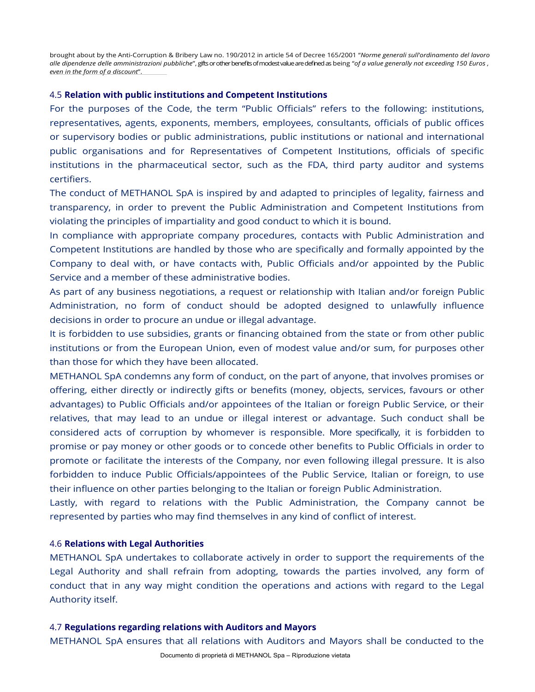brought about by the Anti-Corruption & Bribery Law no. 190/2012 in article 54 of Decree 165/2001 "*Norme generali sull'ordinamento del lavoro alle dipendenze delle amministrazioni pubbliche*", gifts or other benefits of modest value are defined as being "*of a value generally not exceeding 150 Euros , even in the form of a discount"*.

#### 4.5 **Relation with public institutions and Competent Institutions**

For the purposes of the Code, the term "Public Officials" refers to the following: institutions, representatives, agents, exponents, members, employees, consultants, officials of public offices or supervisory bodies or public administrations, public institutions or national and international public organisations and for Representatives of Competent Institutions, officials of specific institutions in the pharmaceutical sector, such as the FDA, third party auditor and systems certifiers.

The conduct of METHANOL SpA is inspired by and adapted to principles of legality, fairness and transparency, in order to prevent the Public Administration and Competent Institutions from violating the principles of impartiality and good conduct to which it is bound.

In compliance with appropriate company procedures, contacts with Public Administration and Competent Institutions are handled by those who are specifically and formally appointed by the Company to deal with, or have contacts with, Public Officials and/or appointed by the Public Service and a member of these administrative bodies.

As part of any business negotiations, a request or relationship with Italian and/or foreign Public Administration, no form of conduct should be adopted designed to unlawfully influence decisions in order to procure an undue or illegal advantage.

It is forbidden to use subsidies, grants or financing obtained from the state or from other public institutions or from the European Union, even of modest value and/or sum, for purposes other than those for which they have been allocated.

METHANOL SpA condemns any form of conduct, on the part of anyone, that involves promises or offering, either directly or indirectly gifts or benefits (money, objects, services, favours or other advantages) to Public Officials and/or appointees of the Italian or foreign Public Service, or their relatives, that may lead to an undue or illegal interest or advantage. Such conduct shall be considered acts of corruption by whomever is responsible. More specifically, it is forbidden to promise or pay money or other goods or to concede other benefits to Public Officials in order to promote or facilitate the interests of the Company, nor even following illegal pressure. It is also forbidden to induce Public Officials/appointees of the Public Service, Italian or foreign, to use their influence on other parties belonging to the Italian or foreign Public Administration.

Lastly, with regard to relations with the Public Administration, the Company cannot be represented by parties who may find themselves in any kind of conflict of interest.

## 4.6 **Relations with Legal Authorities**

METHANOL SpA undertakes to collaborate actively in order to support the requirements of the Legal Authority and shall refrain from adopting, towards the parties involved, any form of conduct that in any way might condition the operations and actions with regard to the Legal Authority itself.

#### 4.7 **Regulations regarding relations with Auditors and Mayors**

METHANOL SpA ensures that all relations with Auditors and Mayors shall be conducted to the